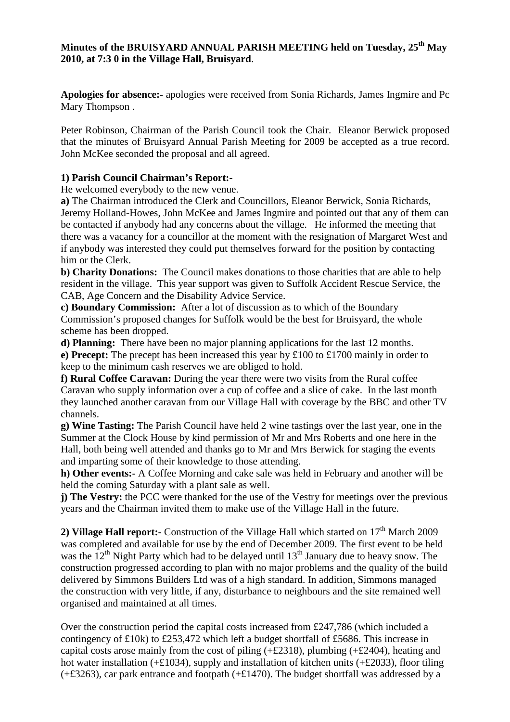### **Minutes of the BRUISYARD ANNUAL PARISH MEETING held on Tuesday, 25th May 2010, at 7:3 0 in the Village Hall, Bruisyard**.

**Apologies for absence:-** apologies were received from Sonia Richards, James Ingmire and Pc Mary Thompson .

Peter Robinson, Chairman of the Parish Council took the Chair. Eleanor Berwick proposed that the minutes of Bruisyard Annual Parish Meeting for 2009 be accepted as a true record. John McKee seconded the proposal and all agreed.

### **1) Parish Council Chairman's Report:-**

He welcomed everybody to the new venue.

**a)** The Chairman introduced the Clerk and Councillors, Eleanor Berwick, Sonia Richards, Jeremy Holland-Howes, John McKee and James Ingmire and pointed out that any of them can be contacted if anybody had any concerns about the village.He informed the meeting that there was a vacancy for a councillor at the moment with the resignation of Margaret West and if anybody was interested they could put themselves forward for the position by contacting him or the Clerk.

**b) Charity Donations:** The Council makes donations to those charities that are able to help resident in the village. This year support was given to Suffolk Accident Rescue Service, the CAB, Age Concern and the Disability Advice Service.

**c) Boundary Commission:** After a lot of discussion as to which of the Boundary Commission's proposed changes for Suffolk would be the best for Bruisyard, the whole scheme has been dropped.

**d) Planning:** There have been no major planning applications for the last 12 months.

**e) Precept:** The precept has been increased this year by £100 to £1700 mainly in order to keep to the minimum cash reserves we are obliged to hold.

**f) Rural Coffee Caravan:** During the year there were two visits from the Rural coffee Caravan who supply information over a cup of coffee and a slice of cake. In the last month they launched another caravan from our Village Hall with coverage by the BBC and other TV channels.

**g) Wine Tasting:** The Parish Council have held 2 wine tastings over the last year, one in the Summer at the Clock House by kind permission of Mr and Mrs Roberts and one here in the Hall, both being well attended and thanks go to Mr and Mrs Berwick for staging the events and imparting some of their knowledge to those attending.

**h) Other events:-** A Coffee Morning and cake sale was held in February and another will be held the coming Saturday with a plant sale as well.

**j)** The Vestry: the PCC were thanked for the use of the Vestry for meetings over the previous years and the Chairman invited them to make use of the Village Hall in the future.

2) **Village Hall report:-** Construction of the Village Hall which started on 17<sup>th</sup> March 2009 was completed and available for use by the end of December 2009. The first event to be held was the  $12<sup>th</sup>$  Night Party which had to be delayed until  $13<sup>th</sup>$  January due to heavy snow. The construction progressed according to plan with no major problems and the quality of the build delivered by Simmons Builders Ltd was of a high standard. In addition, Simmons managed the construction with very little, if any, disturbance to neighbours and the site remained well organised and maintained at all times.

Over the construction period the capital costs increased from £247,786 (which included a contingency of £10k) to £253,472 which left a budget shortfall of £5686. This increase in capital costs arose mainly from the cost of piling (+£2318), plumbing (+£2404), heating and hot water installation (+£1034), supply and installation of kitchen units (+£2033), floor tiling (+£3263), car park entrance and footpath (+£1470). The budget shortfall was addressed by a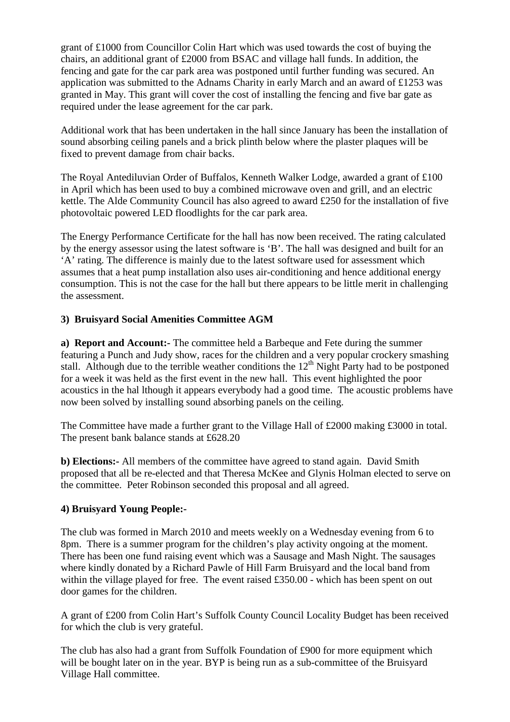grant of £1000 from Councillor Colin Hart which was used towards the cost of buying the chairs, an additional grant of £2000 from BSAC and village hall funds. In addition, the fencing and gate for the car park area was postponed until further funding was secured. An application was submitted to the Adnams Charity in early March and an award of £1253 was granted in May. This grant will cover the cost of installing the fencing and five bar gate as required under the lease agreement for the car park.

Additional work that has been undertaken in the hall since January has been the installation of sound absorbing ceiling panels and a brick plinth below where the plaster plaques will be fixed to prevent damage from chair backs.

The Royal Antediluvian Order of Buffalos, Kenneth Walker Lodge, awarded a grant of £100 in April which has been used to buy a combined microwave oven and grill, and an electric kettle. The Alde Community Council has also agreed to award £250 for the installation of five photovoltaic powered LED floodlights for the car park area.

The Energy Performance Certificate for the hall has now been received. The rating calculated by the energy assessor using the latest software is 'B'. The hall was designed and built for an 'A' rating. The difference is mainly due to the latest software used for assessment which assumes that a heat pump installation also uses air-conditioning and hence additional energy consumption. This is not the case for the hall but there appears to be little merit in challenging the assessment.

### **3) Bruisyard Social Amenities Committee AGM**

**a) Report and Account:-** The committee held a Barbeque and Fete during the summer featuring a Punch and Judy show, races for the children and a very popular crockery smashing stall. Although due to the terrible weather conditions the  $12<sup>th</sup>$  Night Party had to be postponed for a week it was held as the first event in the new hall. This event highlighted the poor acoustics in the hal lthough it appears everybody had a good time. The acoustic problems have now been solved by installing sound absorbing panels on the ceiling.

The Committee have made a further grant to the Village Hall of £2000 making £3000 in total. The present bank balance stands at £628.20

**b) Elections:-** All members of the committee have agreed to stand again. David Smith proposed that all be re-elected and that Theresa McKee and Glynis Holman elected to serve on the committee. Peter Robinson seconded this proposal and all agreed.

### **4) Bruisyard Young People:-**

The club was formed in March 2010 and meets weekly on a Wednesday evening from 6 to 8pm. There is a summer program for the children's play activity ongoing at the moment. There has been one fund raising event which was a Sausage and Mash Night. The sausages where kindly donated by a Richard Pawle of Hill Farm Bruisyard and the local band from within the village played for free. The event raised £350.00 - which has been spent on out door games for the children.

A grant of £200 from Colin Hart's Suffolk County Council Locality Budget has been received for which the club is very grateful.

The club has also had a grant from Suffolk Foundation of £900 for more equipment which will be bought later on in the year. BYP is being run as a sub-committee of the Bruisyard Village Hall committee.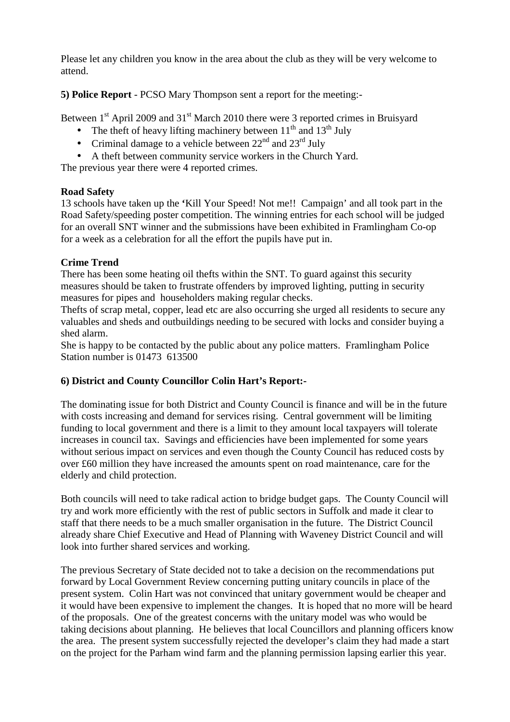Please let any children you know in the area about the club as they will be very welcome to attend.

**5) Police Report** - PCSO Mary Thompson sent a report for the meeting:-

Between  $1<sup>st</sup>$  April 2009 and  $31<sup>st</sup>$  March 2010 there were 3 reported crimes in Bruisyard

- The theft of heavy lifting machinery between  $11<sup>th</sup>$  and  $13<sup>th</sup>$  July
- Criminal damage to a vehicle between  $22<sup>nd</sup>$  and  $23<sup>rd</sup>$  July
- A theft between community service workers in the Church Yard.

The previous year there were 4 reported crimes.

# **Road Safety**

13 schools have taken up the **'**Kill Your Speed! Not me!! Campaign' and all took part in the Road Safety/speeding poster competition. The winning entries for each school will be judged for an overall SNT winner and the submissions have been exhibited in Framlingham Co-op for a week as a celebration for all the effort the pupils have put in.

### **Crime Trend**

There has been some heating oil thefts within the SNT. To guard against this security measures should be taken to frustrate offenders by improved lighting, putting in security measures for pipes and householders making regular checks.

Thefts of scrap metal, copper, lead etc are also occurring she urged all residents to secure any valuables and sheds and outbuildings needing to be secured with locks and consider buying a shed alarm.

She is happy to be contacted by the public about any police matters. Framlingham Police Station number is 01473 613500

# **6) District and County Councillor Colin Hart's Report:-**

The dominating issue for both District and County Council is finance and will be in the future with costs increasing and demand for services rising. Central government will be limiting funding to local government and there is a limit to they amount local taxpayers will tolerate increases in council tax. Savings and efficiencies have been implemented for some years without serious impact on services and even though the County Council has reduced costs by over £60 million they have increased the amounts spent on road maintenance, care for the elderly and child protection.

Both councils will need to take radical action to bridge budget gaps. The County Council will try and work more efficiently with the rest of public sectors in Suffolk and made it clear to staff that there needs to be a much smaller organisation in the future. The District Council already share Chief Executive and Head of Planning with Waveney District Council and will look into further shared services and working.

The previous Secretary of State decided not to take a decision on the recommendations put forward by Local Government Review concerning putting unitary councils in place of the present system. Colin Hart was not convinced that unitary government would be cheaper and it would have been expensive to implement the changes. It is hoped that no more will be heard of the proposals. One of the greatest concerns with the unitary model was who would be taking decisions about planning. He believes that local Councillors and planning officers know the area. The present system successfully rejected the developer's claim they had made a start on the project for the Parham wind farm and the planning permission lapsing earlier this year.